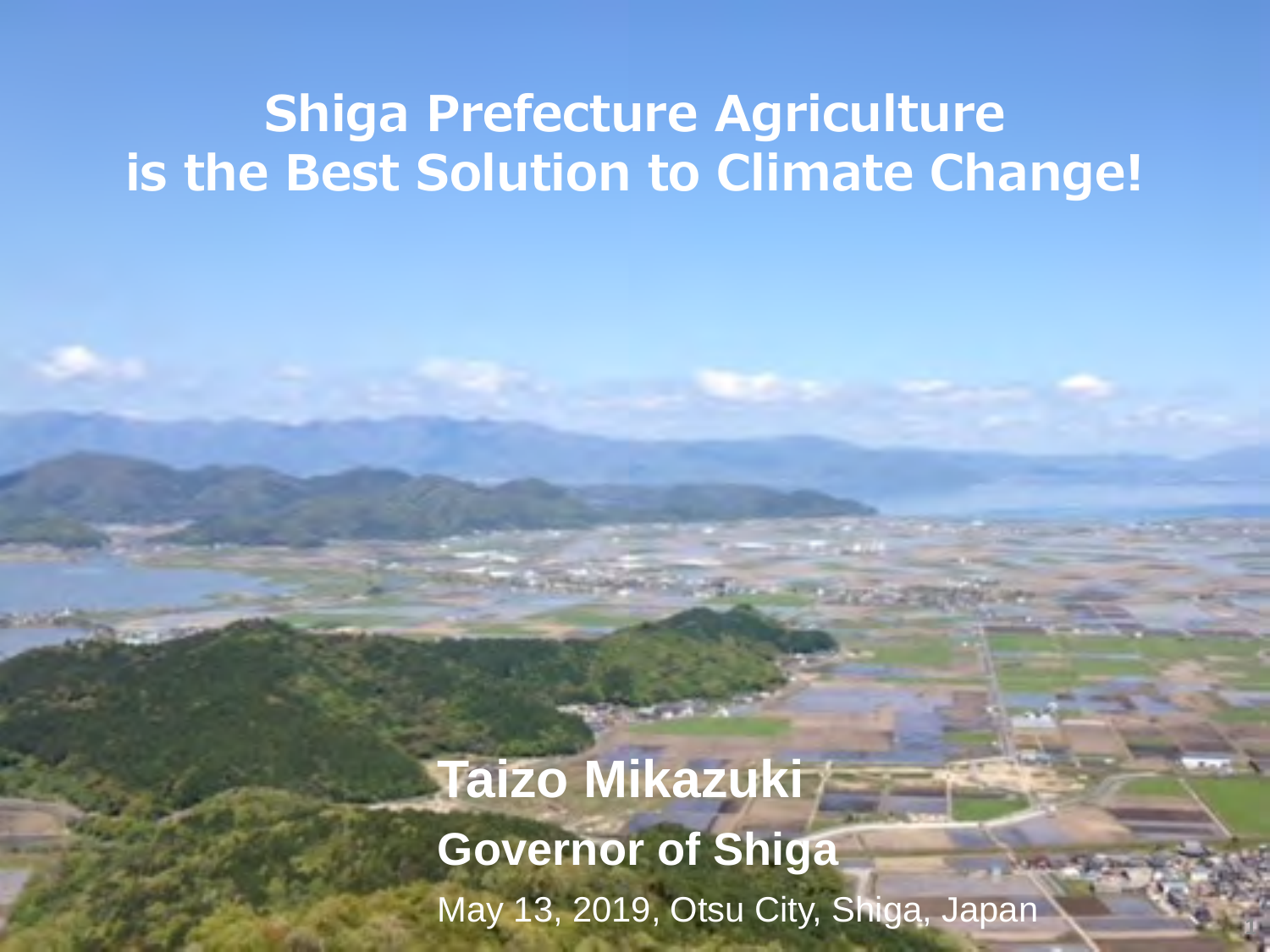### **Shiga Prefecture Agriculture is the Best Solution to Climate Change!**

**Taizo Mikazuki Governor of Shiga** May 13, 2019, Otsu City, Shiga, Japan **<sup>1</sup>**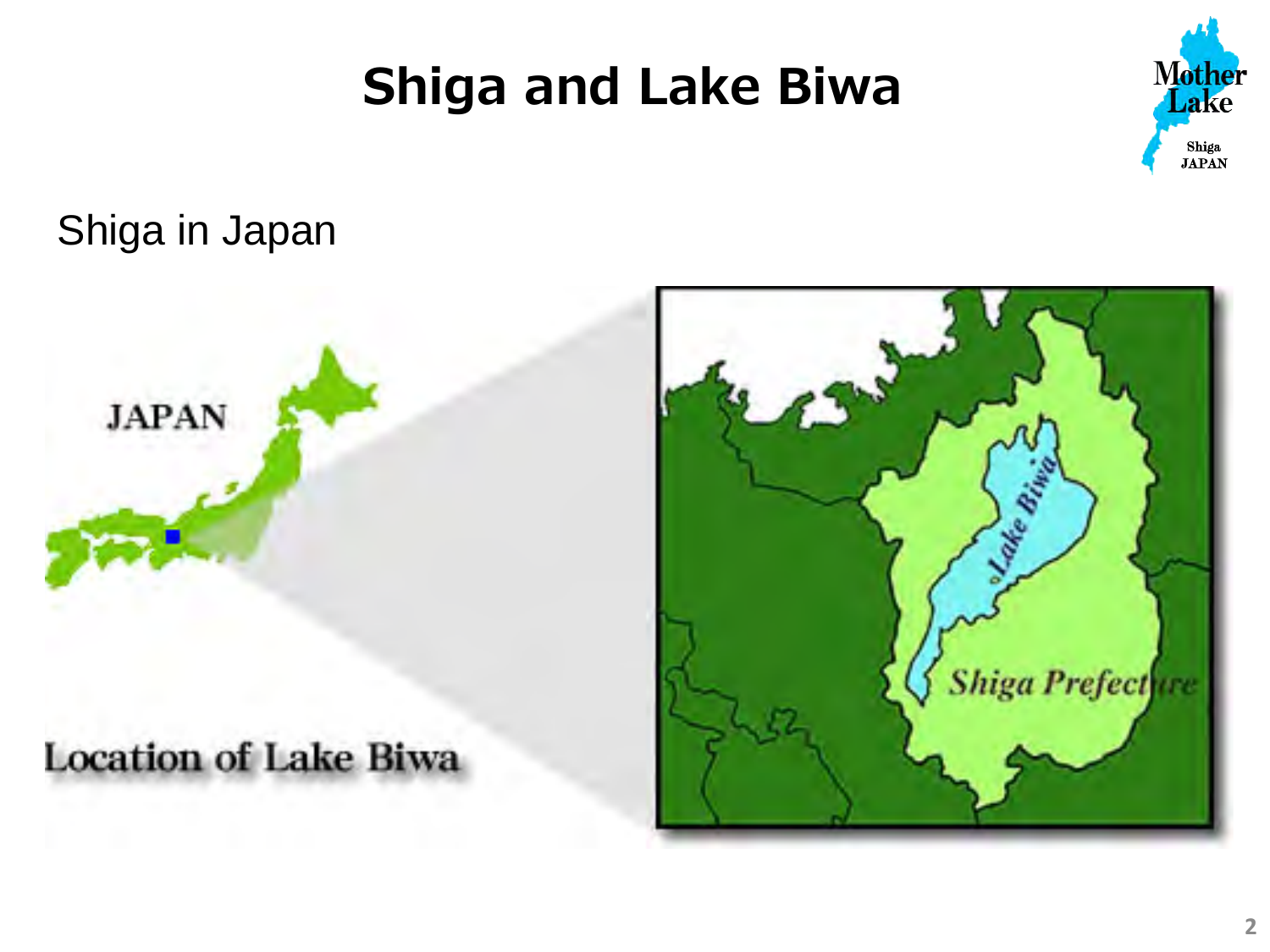## **Shiga and Lake Biwa**



### Shiga in Japan



### **Location of Lake Biwa**

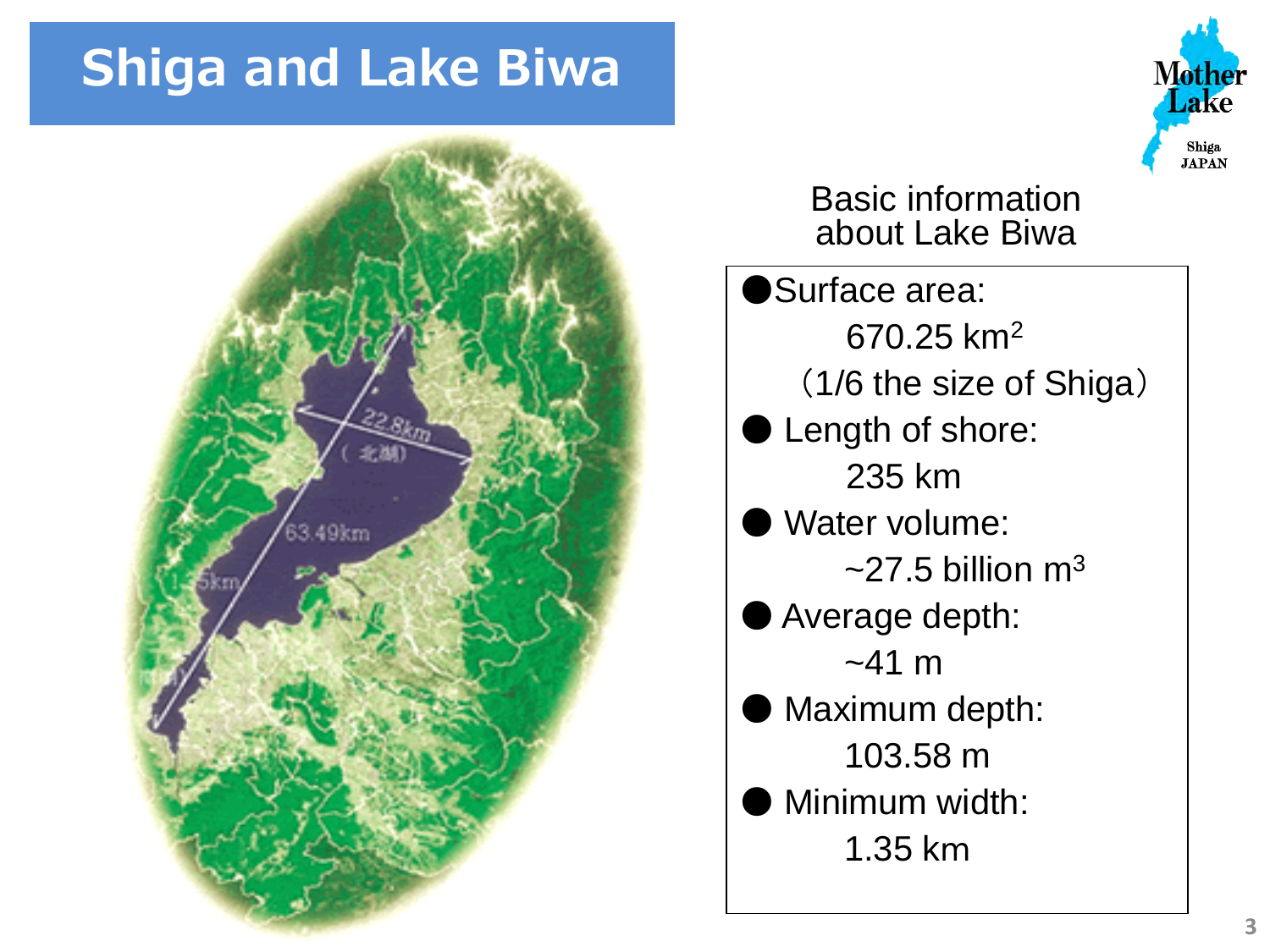## **Shiga and Lake Biwa**



#### **Mother** lake Shiga **TAPAN**

Basic information about Lake Biwa

Surface area: 670.25 km2 (1/6 the size of Shiga) Length of shore: 235 km Water volume:  $\approx$  27.5 billion m<sup>3</sup> ● Average depth:  $~141 \text{ m}$ Maximum depth: 103.58 m Minimum width: 1.35 km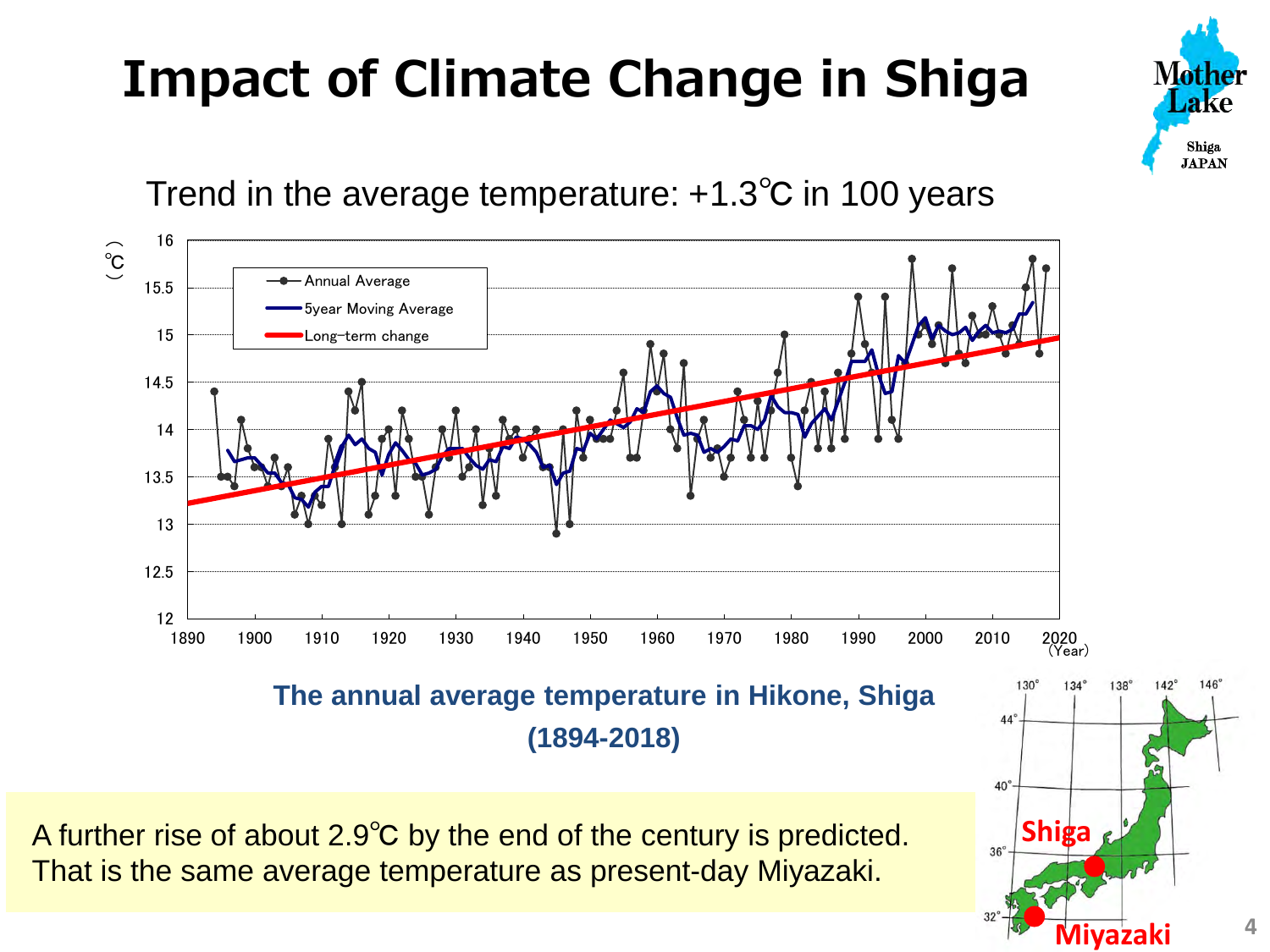# **Impact of Climate Change in Shiga**



#### Trend in the average temperature: +1.3℃ in 100 years



A further rise of about 2.9℃ by the end of the century is predicted. That is the same average temperature as present-day Miyazaki.

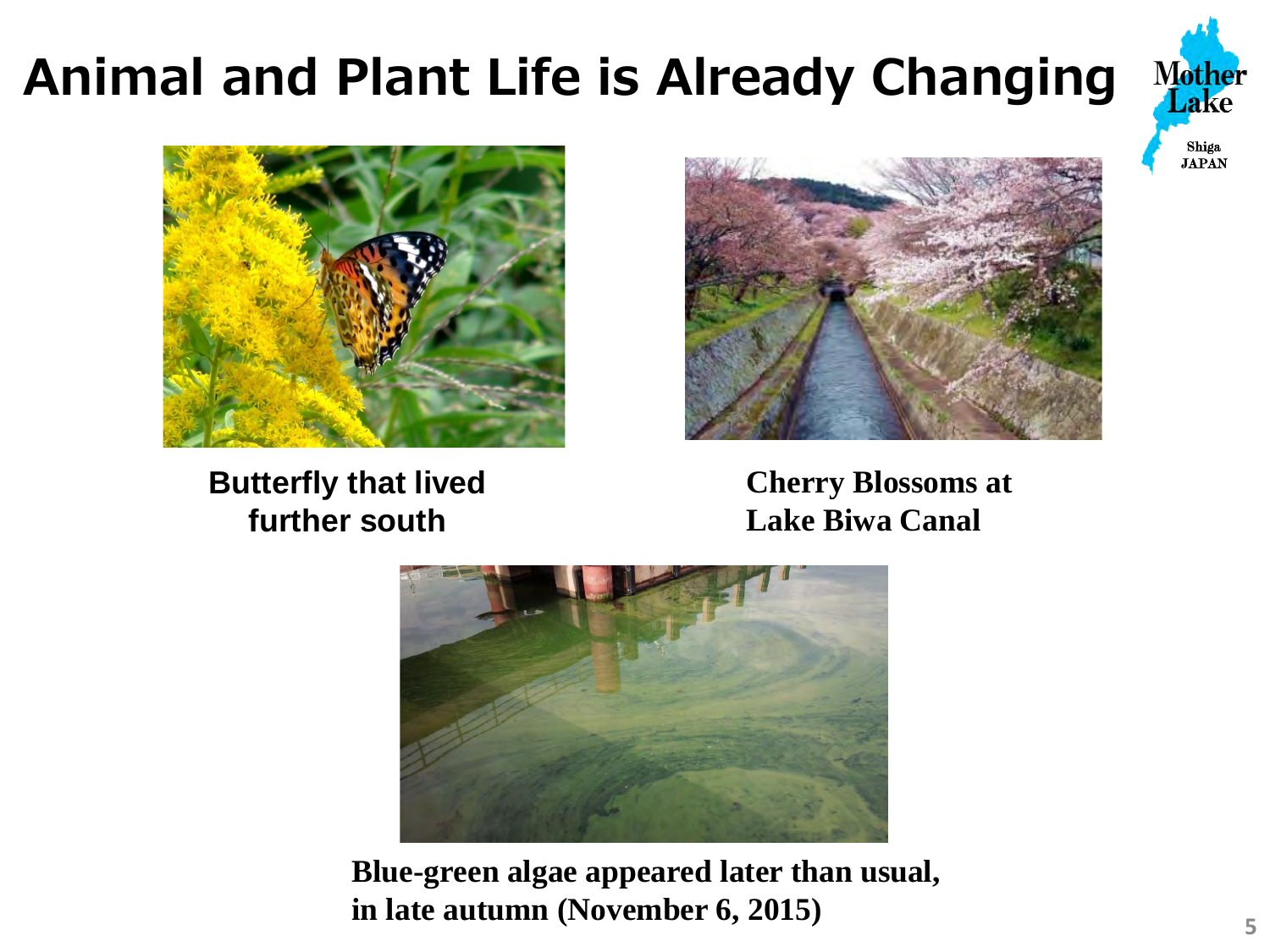# **Animal and Plant Life is Already Changing**





**Butterfly that lived further south**



**Cherry Blossoms at Lake Biwa Canal**



**Blue-green algae appeared later than usual, in late autumn (November 6, 2015)**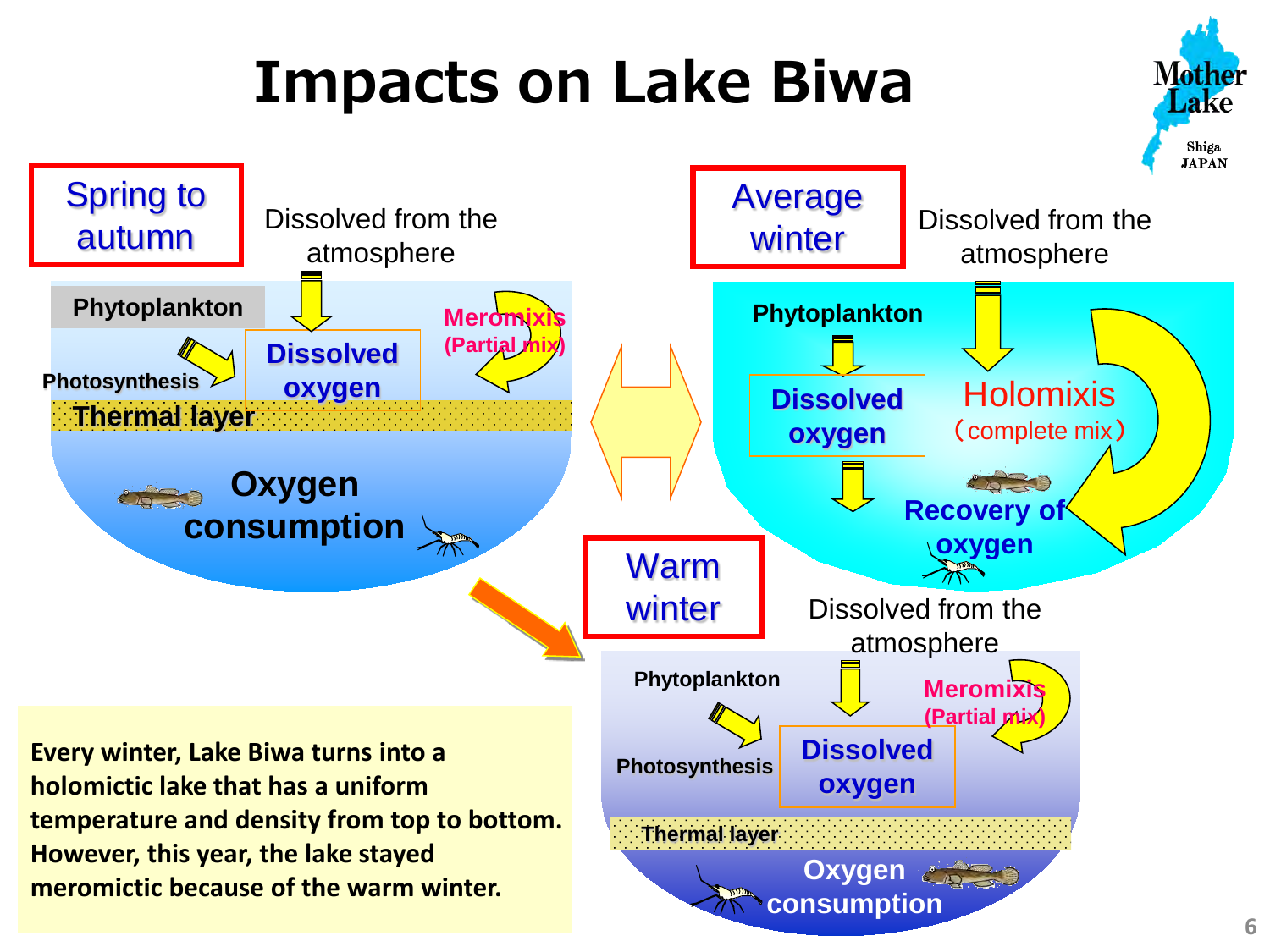# **Impacts on Lake Biwa**



**Nother** ake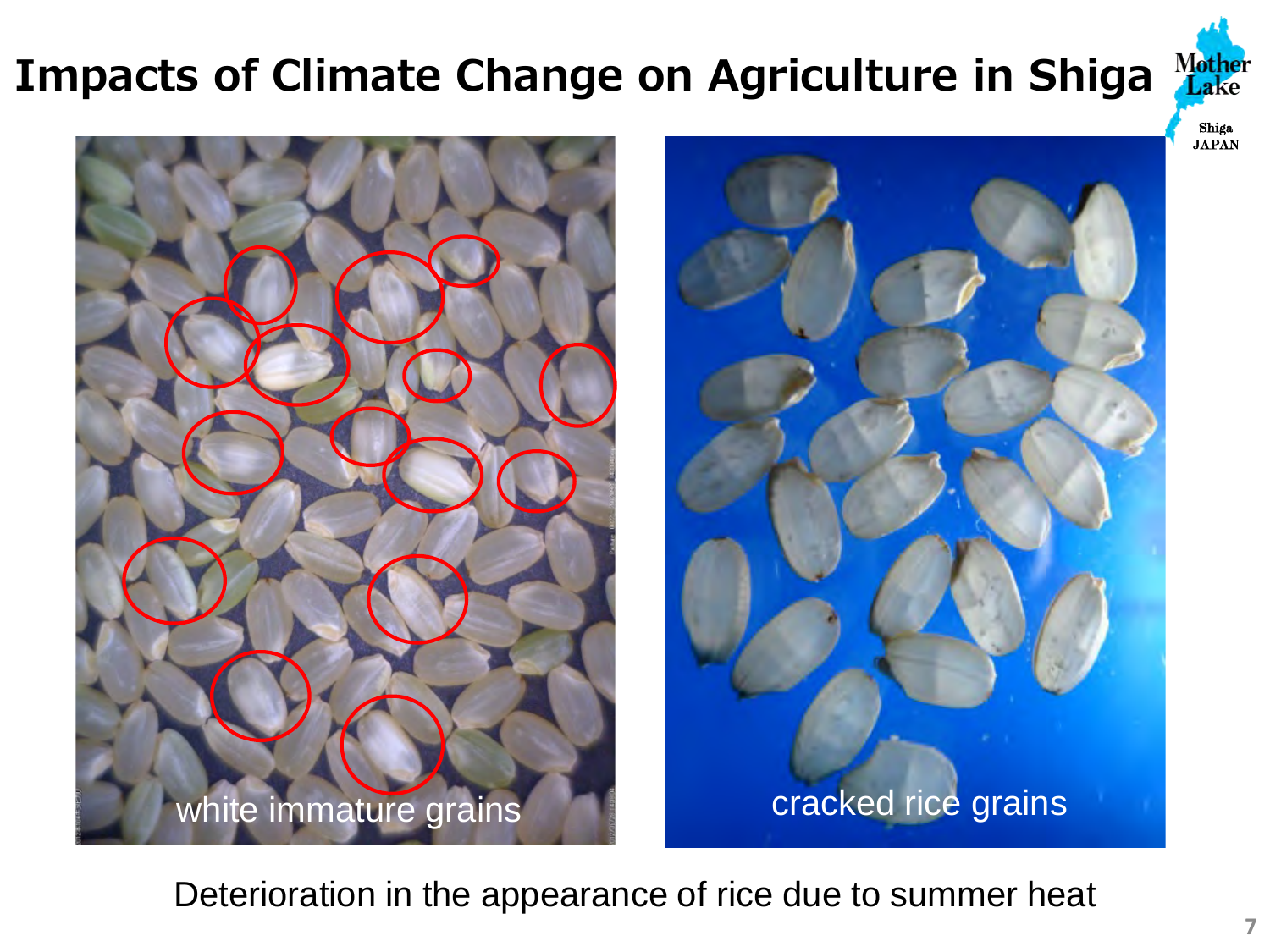### **Impacts of Climate Change on Agriculture in Shiga**







Deterioration in the appearance of rice due to summer heat